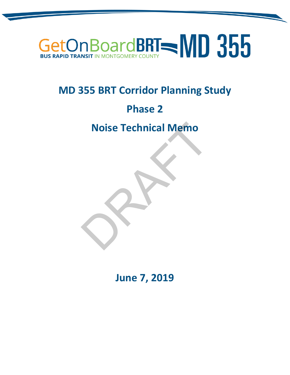# GetOnBoardBRT NID 355

### **MD 355 BRT Corridor Planning Study**

## **Phase 2**

### **Noise Technical Memo**



**June 7, 2019**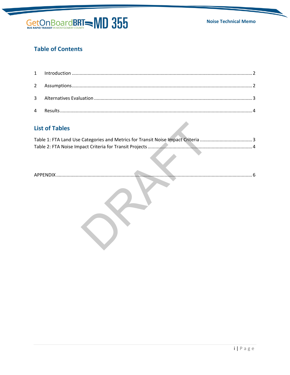

### **Table of Contents**

### **List of Tables**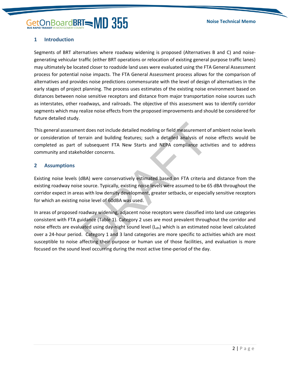#### <span id="page-2-0"></span>**1 Introduction**

Segments of BRT alternatives where roadway widening is proposed (Alternatives B and C) and noisegenerating vehicular traffic (either BRT operations or relocation of existing general purpose traffic lanes) may ultimately be located closer to roadside land uses were evaluated using the FTA General Assessment process for potential noise impacts. The FTA General Assessment process allows for the comparison of alternatives and provides noise predictions commensurate with the level of design of alternatives in the early stages of project planning. The process uses estimates of the existing noise environment based on distances between noise sensitive receptors and distance from major transportation noise sources such as interstates, other roadways, and railroads. The objective of this assessment was to identify corridor segments which may realize noise effects from the proposed improvements and should be considered for future detailed study.

This general assessment does not include detailed modeling or field measurement of ambient noise levels or consideration of terrain and building features; such a detailed analysis of noise effects would be completed as part of subsequent FTA New Starts and NEPA compliance activities and to address community and stakeholder concerns.

#### <span id="page-2-1"></span>**2 Assumptions**

Existing noise levels (dBA) were conservatively estimated based on FTA criteria and distance from the existing roadway noise source. Typically, existing noise levels were assumed to be 65 dBA throughout the corridor expect in areas with low density development, greater setbacks, or especially sensitive receptors for which an existing noise level of 60dBA was used.

In areas of proposed roadway widening, adjacent noise receptors were classified into land use categories consistent with FTA guidance (Table 1). Category 2 uses are most prevalent throughout the corridor and noise effects are evaluated using day-night sound level  $(L_{dn})$  which is an estimated noise level calculated over a 24-hour period. Category 1 and 3 land categories are more specific to activities which are most susceptible to noise affecting their purpose or human use of those facilities, and evaluation is more focused on the sound level occurring during the most active time -period of the day.nt does not include detailed modeling or field measurement o<br>
perrain and building features; such a detailed analysis of nc<br>
f subsequent FTA New Starts and NEPA compliance activ<br>
nolder concerns.<br>
ABA) were conservatively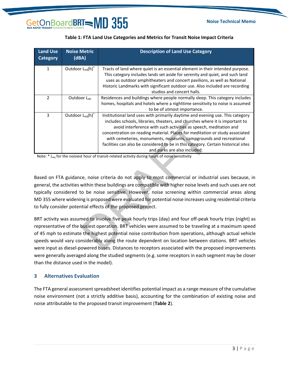<span id="page-3-1"></span>

| <b>Land Use</b><br><b>Category</b> | <b>Noise Metric</b><br>(dBA) | <b>Description of Land Use Category</b>                                                                                                                                                                                                                                                                                                                                                                                                                                                                       |
|------------------------------------|------------------------------|---------------------------------------------------------------------------------------------------------------------------------------------------------------------------------------------------------------------------------------------------------------------------------------------------------------------------------------------------------------------------------------------------------------------------------------------------------------------------------------------------------------|
| $\mathbf{1}$                       | Outdoor $L_{eq}(h)^*$        | Tracts of land where quiet is an essential element in their intended purpose.<br>This category includes lands set aside for serenity and quiet, and such land<br>uses as outdoor amphitheaters and concert pavilions, as well as National<br>Historic Landmarks with significant outdoor use. Also included are recording<br>studios and concert halls.                                                                                                                                                       |
| 2                                  | Outdoor L <sub>dn</sub>      | Residences and buildings where people normally sleep. This category includes<br>homes, hospitals and hotels where a nighttime sensitivity to noise is assumed<br>to be of utmost importance.                                                                                                                                                                                                                                                                                                                  |
| 3                                  | Outdoor $L_{eq}(h)^*$        | Institutional land uses with primarily daytime and evening use. This category<br>includes schools, libraries, theaters, and churches where it is important to<br>avoid interference with such activities as speech, meditation and<br>concentration on reading material. Places for meditation or study associated<br>with cemeteries, monuments, museums, campgrounds and recreational<br>facilities can also be considered to be in this category. Certain historical sites<br>and parks are also included. |

**Table 1: FTA Land Use Categories and Metrics for Transit Noise Impact Criteria**

Note: \* L<sub>eq</sub> for the noisiest hour of transit-related activity during hours of noise sensitivity

Based on FTA guidance, noise criteria do not apply to most commercial or industrial uses because, in general, the activities within these buildings are compatible with higher noise levels and such uses are not typically considered to be noise sensitive. However, noise screening within commercial areas along MD 355 where widening is proposed were evaluated for potential noise increases using residential criteria to fully consider potential effects of the proposed project.

BRT activity was assumed to involve five peak hourly trips (day) and four off-peak hourly trips (night) as representative of the busiest operation. BRT vehicles were assumed to be traveling at a maximum speed of 45 mph to estimate the highest potential noise contribution from operations, although actual vehicle speeds would vary considerably along the route dependent on location between stations. BRT vehicles were input as diesel-powered buses. Distances to receptors associated with the proposed improvements were generally averaged along the studied segments (e.g. some receptors in each segment may be closer than the distance used in the model). method and interference with such activities as speech, and concentration on reading material. Places for meditation<br>concentration on reading material. Places for meditation<br>facilities can also be considered to be in this

#### <span id="page-3-0"></span>**3 Alternatives Evaluation**

The FTA general assessment spreadsheet identifies potential impact as a range measure of the cumulative noise environment (not a strictly additive basis), accounting for the combination of existing noise and noise attributable to the proposed transit improvement (**Table 2**).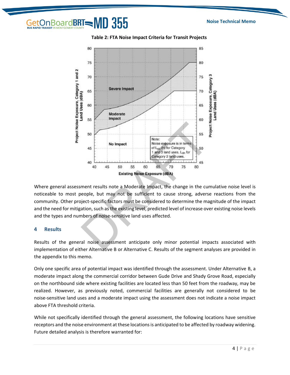

<span id="page-4-1"></span>

Where general assessment results note a Moderate Impact, the change in the cumulative noise level is noticeable to most people, but may not be sufficient to cause strong, adverse reactions from the community. Other project-specific factors must be considered to determine the magnitude of the impact and the need for mitigation, such as the existing level, predicted level of increase over existing noise levels and the types and numbers of noise-sensitive land uses affected.

#### <span id="page-4-0"></span>**4 Results**

Results of the general noise assessment anticipate only minor potential impacts associated with implementation of either Alternative B or Alternative C. Results of the segment analyses are provided in the appendix to this memo.

Only one specific area of potential impact was identified through the assessment. Under Alternative B, a moderate impact along the commercial corridor between Gude Drive and Shady Grove Road, especially on the northbound side where existing facilities are located less than 50 feet from the roadway, may be realized. However, as previously noted, commercial facilities are generally not considered to be noise-sensitive land uses and a moderate impact using the assessment does not indicate a noise impact above FTA threshold criteria.

While not specifically identified through the general assessment, the following locations have sensitive receptors and the noise environment at these locations is anticipated to be affected by roadway widening. Future detailed analysis is therefore warranted for: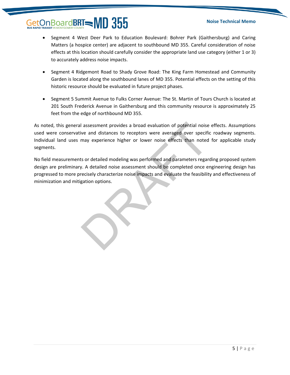- Segment 4 West Deer Park to Education Boulevard: Bohrer Park (Gaithersburg) and Caring Matters (a hospice center) are adjacent to southbound MD 355. Careful consideration of noise effects at this location should carefully consider the appropriate land use category (either 1 or 3) to accurately address noise impacts.
- Segment 4 Ridgemont Road to Shady Grove Road: The King Farm Homestead and Community Garden is located along the southbound lanes of MD 355. Potential effects on the setting of this historic resource should be evaluated in future project phases.
- Segment 5 Summit Avenue to Fulks Corner Avenue: The St. Martin of Tours Church is located at 201 South Frederick Avenue in Gaithersburg and this community resource is approximately 25 feet from the edge of northbound MD 355.

As noted, this general assessment provides a broad evaluation of potential noise effects. Assumptions used were conservative and distances to receptors were averaged over specific roadway segments. Individual land uses may experience higher or lower noise effects than noted for applicable study segments. I assessment provides a broad evaluation of potential noise<br>ve and distances to receptors were averaged over specific<br>may experience higher or lower noise effects than noted<br>ts or detailed modeling was performed and parame

No field measurements or detailed modeling was performed and parameters regarding proposed system design are preliminary. A detailed noise assessment should be completed once engineering design has progressed to more precisely characterize noise impacts and evaluate the feasibility and effectiveness of minimization and mitigation options.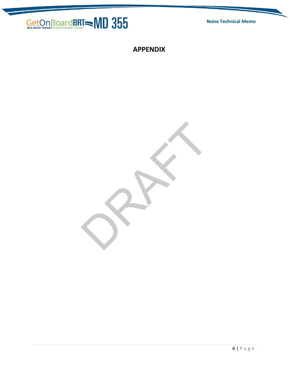<span id="page-6-0"></span>

**Noise Technical Memo**

**APPENDIX**

RAFT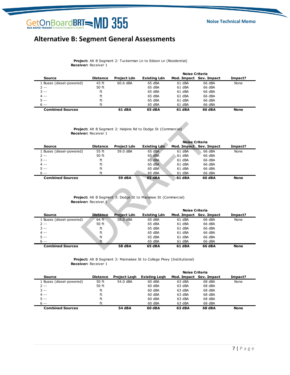### **Alternative B: Segment General Assessments**

| <b>Project:</b> Alt B Segment 2: Tuckerman Ln to Edison Ln (Residential)<br><b>Receiver: Receiver 1</b> |                 |                    |                     |                         |        |             |  |  |  |  |
|---------------------------------------------------------------------------------------------------------|-----------------|--------------------|---------------------|-------------------------|--------|-------------|--|--|--|--|
|                                                                                                         |                 |                    | Noise Criteria      |                         |        |             |  |  |  |  |
| Source                                                                                                  | <b>Distance</b> | <b>Project Ldn</b> | <b>Existing Ldn</b> | Mod. Impact Sev. Impact |        | Impact?     |  |  |  |  |
| 1 Buses (diesel-powered)                                                                                | 43 ft           | 60.6 dBA           | 65 dBA              | 61 dBA                  | 66 dBA | None        |  |  |  |  |
| 2 --                                                                                                    | 50 ft           |                    | 65 dBA              | 61 dBA                  | 66 dBA |             |  |  |  |  |
| $3 - -$                                                                                                 | ft              |                    | 65 dBA              | 61 dBA                  | 66 dBA |             |  |  |  |  |
| $4 - -$                                                                                                 | ft              |                    | 65 dBA              | 61 dBA                  | 66 dBA |             |  |  |  |  |
| $5 -$                                                                                                   | ft              |                    | 65 dBA              | 61 dBA                  | 66 dBA |             |  |  |  |  |
| $6 - -$                                                                                                 | ft              |                    | 65 dBA              | 61 dBA                  | 66 dBA |             |  |  |  |  |
| <b>Combined Sources</b>                                                                                 |                 | 61 dBA             | 65 dBA              | 61 dBA                  | 66 dBA | <b>None</b> |  |  |  |  |

|                          | <b>Project:</b> Alt B Segment 2: Halpine Rd to Dodge St (Commercial)<br><b>Receiver: Receiver 1</b> |                    |                     |                         |        |             |  |  |
|--------------------------|-----------------------------------------------------------------------------------------------------|--------------------|---------------------|-------------------------|--------|-------------|--|--|
|                          |                                                                                                     |                    |                     | <b>Noise Criteria</b>   |        |             |  |  |
| <b>Source</b>            | <b>Distance</b>                                                                                     | <b>Project Ldn</b> | <b>Existing Ldn</b> | Mod. Impact Sev. Impact |        | Impact?     |  |  |
| 1 Buses (diesel-powered) | 55 ft                                                                                               | 59.0 dBA           | 65 dBA              | 61 dBA                  | 66 dBA | None        |  |  |
| 2 --                     | 50 ft                                                                                               |                    | 65 dBA              | 61 dBA                  | 66 dBA |             |  |  |
| $3 - -$                  | ft                                                                                                  |                    | 65 dBA              | 61 dBA                  | 66 dBA |             |  |  |
| $4 - -$                  | ft                                                                                                  |                    | 65 dBA              | 61 dBA                  | 66 dBA |             |  |  |
| $5 - -$                  | ft                                                                                                  |                    | 65 dBA              | 61 dBA                  | 66 dBA |             |  |  |
| $6 - -$                  | ft                                                                                                  |                    | 65 dBA              | 61 dBA                  | 66 dBA |             |  |  |
| <b>Combined Sources</b>  |                                                                                                     | 59 dBA             | 65 dBA              | 61 dBA                  | 66 dBA | <b>None</b> |  |  |

#### **Project:** Alt B Segment 3: Dodge St to Manakee St (Commercial) **Receiver:** Receiver 1

|                          |                             |                    | <b>Project:</b> Alt B Segment 2: Halpine Rd to Dodge St (Commercial) |                                                  |        |             |
|--------------------------|-----------------------------|--------------------|----------------------------------------------------------------------|--------------------------------------------------|--------|-------------|
|                          | <b>Receiver: Receiver 1</b> |                    |                                                                      |                                                  |        |             |
|                          |                             |                    |                                                                      |                                                  |        |             |
| <b>Source</b>            | <b>Distance</b>             | <b>Project Ldn</b> | <b>Existing Ldn</b>                                                  | <b>Noise Criteria</b><br>Mod. Impact Sev. Impact |        | Impact?     |
| 1 Buses (diesel-powered) | 55 ft                       | 59.0 dBA           | 65 dBA                                                               | 61 dBA                                           | 66 dBA | None        |
| $2 -$                    | 50 ft                       |                    | 65 dBA                                                               | $61$ dBA                                         | 66 dBA |             |
| $3 - -$                  | ft                          |                    | 65 dBA                                                               | 61 dBA                                           | 66 dBA |             |
| 4 --                     | ft                          |                    | 65 dBA                                                               | $61$ dBA                                         | 66 dBA |             |
| 5 --                     | ft                          |                    | 65 dBA                                                               | $61$ dBA                                         | 66 dBA |             |
| $6 -$                    | ft                          |                    | 65 dBA                                                               | 61 dBA                                           | 66 dBA |             |
| <b>Combined Sources</b>  |                             | <b>59 dBA</b>      | 65 dBA                                                               | 61 dBA                                           | 66 dBA | <b>None</b> |
|                          |                             |                    |                                                                      |                                                  |        |             |
|                          |                             |                    |                                                                      |                                                  |        |             |
|                          |                             |                    |                                                                      |                                                  |        |             |
|                          |                             |                    |                                                                      |                                                  |        |             |
|                          |                             |                    |                                                                      |                                                  |        |             |
|                          |                             |                    | <b>Project:</b> Alt B Segment 3: Dodge St to Manakee St (Commercial) |                                                  |        |             |
|                          | <b>Receiver: Receiver 1</b> |                    |                                                                      |                                                  |        |             |
|                          |                             |                    |                                                                      | <b>Noise Criteria</b>                            |        |             |
| <b>Source</b>            | <b>Distance</b>             | <b>Project Ldn</b> | <b>Existing Ldn</b>                                                  | Mod. Impact Sev. Impact                          |        | Impact?     |
| 1 Buses (diesel-powered) | $64$ ft                     | 58.0 dBA           | 65 dBA                                                               | 61 dBA                                           | 66 dBA | None        |
| $2 -$                    | 50 ft                       |                    | 65 dBA                                                               | 61 dBA                                           | 66 dBA |             |
| २ --                     | ft                          |                    | 65 dBA                                                               | 61 dBA                                           | 66 dBA |             |
| 4 --                     | ft                          |                    | 65 dBA                                                               | 61 dBA                                           | 66 dBA |             |
| $5 -$                    | ft                          |                    | 65 dBA                                                               | 61 dBA                                           | 66 dBA |             |
| $6 -$                    | ft                          |                    | 65 dBA                                                               | 61 dBA                                           | 66 dBA |             |
| <b>Combined Sources</b>  |                             | <b>58 dBA</b>      | 65 dBA                                                               | 61 dBA                                           | 66 dBA | <b>None</b> |

| <b>Project:</b> Alt B Segment 3: Mannakee St to College Pkwy (Institutional)<br><b>Receiver: Receiver 1</b> |                 |                     |                      |                         |        |             |  |  |
|-------------------------------------------------------------------------------------------------------------|-----------------|---------------------|----------------------|-------------------------|--------|-------------|--|--|
|                                                                                                             |                 |                     |                      | <b>Noise Criteria</b>   |        |             |  |  |
| <b>Source</b>                                                                                               | <b>Distance</b> | <b>Project Legh</b> | <b>Existing Legh</b> | Mod. Impact Sev. Impact |        | Impact?     |  |  |
| 1 Buses (diesel-powered)                                                                                    | 50 ft           | 54.0 dBA            | 60 dBA               | 63 dBA                  | 68 dBA | None        |  |  |
| 2 --                                                                                                        | 50 ft           |                     | 60 dBA               | 63 dBA                  | 68 dBA |             |  |  |
| $3 - -$                                                                                                     | ft              |                     | 60 dBA               | 63 dBA                  | 68 dBA |             |  |  |
| 4 --                                                                                                        | ft              |                     | 60 dBA               | 63 dBA                  | 68 dBA |             |  |  |
| $5 -$                                                                                                       | ft              |                     | 60 dBA               | 63 dBA                  | 68 dBA |             |  |  |
| $6 - -$                                                                                                     | ft              |                     | 60 dBA               | 63 dBA                  | 68 dBA |             |  |  |
| <b>Combined Sources</b>                                                                                     |                 | 54 dBA              | 60 dBA               | 63 dBA                  | 68 dBA | <b>None</b> |  |  |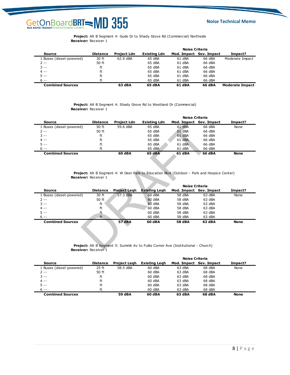| <b>Project:</b> Alt B Segment 4: Gude Dr to Shady Grove Rd (Commercial) Northside<br><b>Receiver: Receiver 1</b> |                 |                    |                     |                         |        |                        |  |  |
|------------------------------------------------------------------------------------------------------------------|-----------------|--------------------|---------------------|-------------------------|--------|------------------------|--|--|
|                                                                                                                  |                 |                    |                     | <b>Noise Criteria</b>   |        |                        |  |  |
| <b>Source</b>                                                                                                    | <b>Distance</b> | <b>Project Ldn</b> | <b>Existing Ldn</b> | Mod. Impact Sev. Impact |        | Impact?                |  |  |
| 1 Buses (diesel-powered)                                                                                         | 30 ft           | 62.9 dBA           | 65 dBA              | 61 dBA                  | 66 dBA | Moderate Impact        |  |  |
| $2 -$                                                                                                            | 50 ft           |                    | 65 dBA              | 61 dBA                  | 66 dBA |                        |  |  |
| $3 - -$                                                                                                          | ft              |                    | 65 dBA              | 61 dBA                  | 66 dBA |                        |  |  |
| $4 - -$                                                                                                          | ft              |                    | 65 dBA              | 61 dBA                  | 66 dBA |                        |  |  |
| $5 - -$                                                                                                          | ft              |                    | 65 dBA              | 61 dBA                  | 66 dBA |                        |  |  |
| $6 - -$                                                                                                          | ft              |                    | 65 dBA              | 61 dBA                  | 66 dBA |                        |  |  |
| <b>Combined Sources</b>                                                                                          |                 | 63 dBA             | 65 dBA              | 61 dBA                  | 66 dBA | <b>Moderate Impact</b> |  |  |

|                          | <b>Receiver: Receiver 1</b> | <b>Project:</b> Alt B Segment 4: Shady Grove Rd to Westland Dr (Commercial) |                     |                         |        |             |
|--------------------------|-----------------------------|-----------------------------------------------------------------------------|---------------------|-------------------------|--------|-------------|
|                          |                             |                                                                             |                     | <b>Noise Criteria</b>   |        |             |
| Source                   | <b>Distance</b>             | <b>Project Ldn</b>                                                          | <b>Existing Ldn</b> | Mod. Impact Sev. Impact |        | Impact?     |
| 1 Buses (diesel-powered) | 50 ft                       | 59.6 dBA                                                                    | 65 dBA              | 61 dBA                  | 66 dBA | None        |
| 2 --                     | 50 ft                       |                                                                             | 65 dBA              | 61 dBA                  | 66 dBA |             |
| $3 - -$                  | ft                          |                                                                             | 65 dBA              | 61 dBA                  | 66 dBA |             |
| $4 - -$                  | ft                          |                                                                             | 65 dBA              | $61$ dBA                | 66 dBA |             |
| $5 -$                    | ft                          |                                                                             | 65 dBA              | 61 dBA                  | 66 dBA |             |
| $6 - -$                  | ft                          |                                                                             | 65 dBA              | 61 dBA                  | 66 dBA |             |
| <b>Combined Sources</b>  |                             | 60 dBA                                                                      | 65 dBA              | 61 dBA                  | 66 dBA | <b>None</b> |
|                          |                             |                                                                             |                     |                         |        |             |

| Source                   | Distance                    | Project Lan         | Existing Ldn                                                                                | Mod. Impact Sev. Impact |                         | Impact?     |  |
|--------------------------|-----------------------------|---------------------|---------------------------------------------------------------------------------------------|-------------------------|-------------------------|-------------|--|
| 1 Buses (diesel-powered) | 50 ft                       | 59.6 dBA            | 65 dBA                                                                                      | 61 dBA                  | 66 dBA                  | None        |  |
| 2 --                     | 50 ft                       |                     | 65 dBA                                                                                      | 61 dBA                  | 66 dBA                  |             |  |
| $3 - -$                  | ft                          |                     | 65 dBA                                                                                      | 61 dBA                  | 66 dBA                  |             |  |
| $4 -$                    | ft                          |                     | 65 dBA                                                                                      | $61$ dBA                | 66 dBA                  |             |  |
| $5 -$                    | ft                          |                     | 65 dBA                                                                                      | 61 dBA                  | 66 dBA                  |             |  |
| $6 -$                    | ft                          |                     | 65 dBA                                                                                      | 61 dBA                  | 66 dBA                  |             |  |
| <b>Combined Sources</b>  |                             | 60 dBA              | 65 dBA                                                                                      | 61 dBA                  | <b>66 dBA</b>           | <b>None</b> |  |
|                          | <b>Receiver: Receiver 1</b> |                     | Project: Alt B Segment 4: W Deer Park to Education Blvd (Outdoor - Park and Hospice Center) | <b>Noise Criteria</b>   |                         |             |  |
| <b>Source</b>            | <b>Distance</b>             | <b>Project Legh</b> | <b>Existing Legh</b>                                                                        |                         | Mod. Impact Sev. Impact | Impact?     |  |
| 1 Buses (diesel-powered) | 30 ft                       | 57.3 dBA            | 60 dBA                                                                                      | 58 dBA                  | 63 dBA                  | None        |  |
| 2 --                     | 50 ft                       |                     | 60 dBA                                                                                      | 58 dBA                  | 63 dBA                  |             |  |
| $3 - -$                  | ft                          |                     | $60$ dBA                                                                                    | 58 dBA                  | 63 dBA                  |             |  |
| 4 --                     | ft                          |                     | 60 dBA                                                                                      | 58 dBA                  | 63 dBA                  |             |  |
| $5 -$                    | ft                          |                     | 60 dBA                                                                                      | 58 dBA                  | 63 dBA                  |             |  |
| $6 - -$                  | ft                          |                     | 60 dBA                                                                                      | 58 dBA                  | 63 dBA                  |             |  |
| <b>Combined Sources</b>  |                             | <b>57 dBA</b>       | <b>60 dBA</b>                                                                               | <b>58 dBA</b>           | 63 dBA                  | <b>None</b> |  |
|                          |                             |                     |                                                                                             |                         |                         |             |  |

| <b>Project:</b> Alt B Segment 5: Summit Av to Fulks Corner Ave (Institutional - Church)<br><b>Receiver: Receiver 1</b> |                 |                     |                      |                         |        |             |  |  |  |
|------------------------------------------------------------------------------------------------------------------------|-----------------|---------------------|----------------------|-------------------------|--------|-------------|--|--|--|
|                                                                                                                        |                 |                     |                      | <b>Noise Criteria</b>   |        |             |  |  |  |
| <b>Source</b>                                                                                                          | <b>Distance</b> | <b>Project Legh</b> | <b>Existing Legh</b> | Mod. Impact Sev. Impact |        | Impact?     |  |  |  |
| 1 Buses (diesel-powered)                                                                                               | $25$ ft         | 58.5 dBA            | 60 dBA               | 63 dBA                  | 68 dBA | None        |  |  |  |
| $2 - -$                                                                                                                | 50 ft           |                     | 60 dBA               | 63 dBA                  | 68 dBA |             |  |  |  |
| $3 - -$                                                                                                                | ft              |                     | 60 dBA               | 63 dBA                  | 68 dBA |             |  |  |  |
| $4 - -$                                                                                                                | ft              |                     | 60 dBA               | 63 dBA                  | 68 dBA |             |  |  |  |
| $5 - -$                                                                                                                | ft              |                     | 60 dBA               | 63 dBA                  | 68 dBA |             |  |  |  |
| $6 - -$                                                                                                                | ft              |                     | 60 dBA               | 63 dBA                  | 68 dBA |             |  |  |  |
| <b>Combined Sources</b>                                                                                                |                 | 59 dBA              | 60 dBA               | 63 dBA                  | 68 dBA | <b>None</b> |  |  |  |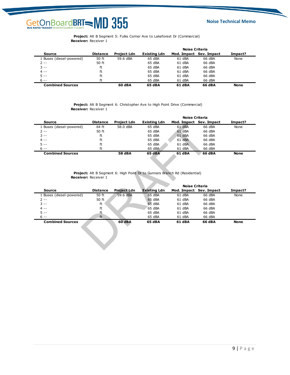| <b>Receiver: Receiver 1</b> |                 |                    |                       |                         |        |             |  |
|-----------------------------|-----------------|--------------------|-----------------------|-------------------------|--------|-------------|--|
|                             |                 |                    | <b>Noise Criteria</b> |                         |        |             |  |
| <b>Source</b>               | <b>Distance</b> | <b>Project Ldn</b> | <b>Existing Ldn</b>   | Mod. Impact Sev. Impact |        | Impact?     |  |
| 1 Buses (diesel-powered)    | 50 ft           | 59.6 dBA           | 65 dBA                | 61 dBA                  | 66 dBA | None        |  |
| $2 -$                       | 50 ft           |                    | 65 dBA                | 61 dBA                  | 66 dBA |             |  |
| $3 - -$                     | ft              |                    | 65 dBA                | 61 dBA                  | 66 dBA |             |  |
| $4 - -$                     | ft              |                    | 65 dBA                | 61 dBA                  | 66 dBA |             |  |
| $5 - -$                     | ft              |                    | 65 dBA                | 61 dBA                  | 66 dBA |             |  |
| $6 - -$                     | ft              |                    | 65 dBA                | 61 dBA                  | 66 dBA |             |  |
| <b>Combined Sources</b>     |                 | 60 dBA             | 65 dBA                | 61 dBA                  | 66 dBA | <b>None</b> |  |

| <b>Project:</b> Alt B Segment 6: Christopher Ave to High Point Drive (Commercial)<br><b>Receiver: Receiver 1</b> |                 |                    |                     |                         |        |             |  |  |
|------------------------------------------------------------------------------------------------------------------|-----------------|--------------------|---------------------|-------------------------|--------|-------------|--|--|
|                                                                                                                  |                 |                    |                     | <b>Noise Criteria</b>   |        |             |  |  |
| Source                                                                                                           | <b>Distance</b> | <b>Project Ldn</b> | <b>Existing Ldn</b> | Mod. Impact Sev. Impact |        | Impact?     |  |  |
| 1 Buses (diesel-powered)                                                                                         | 64 ft           | 58.0 dBA           | 65 dBA              | 61 dBA                  | 66 dBA | None        |  |  |
| 2 --                                                                                                             | 50 ft           |                    | 65 dBA              | 61 dBA                  | 66 dBA |             |  |  |
| $3 - -$                                                                                                          | ft              |                    | 65 dBA              | 61 dBA                  | 66 dBA |             |  |  |
| $4 - -$                                                                                                          | ft              |                    | 65 dBA              | $61$ dBA                | 66 dBA |             |  |  |
| $5 -$                                                                                                            | ft              |                    | 65 dBA              | 61 dBA                  | 66 dBA |             |  |  |
| $6 - -$                                                                                                          | ft              |                    | 65 dBA              | 61 dBA                  | 66 dBA |             |  |  |
| <b>Combined Sources</b>                                                                                          |                 | 58 dBA             | 65 dBA              | 61 dBA                  | 66 dBA | <b>None</b> |  |  |
|                                                                                                                  |                 |                    |                     |                         |        |             |  |  |

| Source                   | Distance                    | Project Lan        | Existing Ldn                                                                      |                       | Mod. Impact Sev. Impact | Impact?     |
|--------------------------|-----------------------------|--------------------|-----------------------------------------------------------------------------------|-----------------------|-------------------------|-------------|
| 1 Buses (diesel-powered) | 64 ft                       | 58.0 dBA           | 65 dBA                                                                            | 61 dBA                | 66 dBA                  | None        |
| $2 - -$                  | 50 ft                       |                    | 65 dBA                                                                            | 61 dBA                | 66 dBA                  |             |
| $3 - -$                  | ft                          |                    | 65 dBA                                                                            | 61 dBA                | 66 dBA                  |             |
| 4 --                     | ft                          |                    | 65 dBA                                                                            | 61 dBA                | 66 dBA                  |             |
| $5 -$                    | ft                          |                    | 65 dBA                                                                            | 61 dBA                | 66 dBA                  |             |
| $6 - -$                  | ft                          |                    | 65 dBA                                                                            | 61 dBA                | 66 dBA                  |             |
| <b>Combined Sources</b>  |                             | <b>58 dBA</b>      | 65 dBA                                                                            | 61 dBA                | <b>66 dBA</b>           | <b>None</b> |
|                          |                             |                    |                                                                                   |                       |                         |             |
|                          |                             |                    |                                                                                   |                       |                         |             |
|                          | <b>Receiver: Receiver 1</b> |                    | <b>Project:</b> Alt B Segment 6: High Point Dr to Gunnars Branch Rd (Residential) |                       |                         |             |
|                          |                             |                    |                                                                                   |                       |                         |             |
|                          |                             |                    |                                                                                   | <b>Noise Criteria</b> |                         |             |
| <b>Source</b>            | <b>Distance</b>             | <b>Project Ldn</b> | <b>Existing Ldn</b>                                                               |                       | Mod. Impact Sev. Impact | Impact?     |
|                          |                             |                    |                                                                                   |                       |                         |             |
| 1 Buses (diesel-powered) | 50 ft                       | 59.6 dBA           | 65 dBA                                                                            | 61 dBA                | 66 dBA                  | None        |
| $2 - -$                  | 50 ft                       |                    | 65 dBA                                                                            | 61 dBA                | 66 dBA                  |             |
| $3 - -$                  | ft                          |                    | 65 dBA                                                                            | 61 dBA                | 66 dBA                  |             |
| 4 --                     | ft                          |                    | 65 dBA                                                                            | 61 dBA                | 66 dBA                  |             |
| $5 - -$                  | ft                          |                    | 65 dBA                                                                            | 61 dBA                | 66 dBA                  |             |
| $6 - -$                  | ft                          |                    | 65 dBA                                                                            | 61 dBA                | 66 dBA                  |             |
| <b>Combined Sources</b>  |                             | 60 dBA             | 65 dBA                                                                            | 61 dBA                | <b>66 dBA</b>           | <b>None</b> |
|                          |                             |                    |                                                                                   |                       |                         |             |
|                          |                             |                    |                                                                                   |                       |                         |             |
|                          |                             |                    |                                                                                   |                       |                         |             |
|                          |                             |                    |                                                                                   |                       |                         |             |
|                          |                             |                    |                                                                                   |                       |                         |             |
|                          |                             |                    |                                                                                   |                       |                         |             |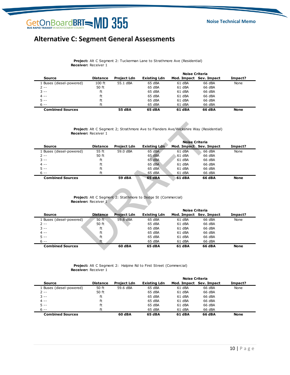### **Alternative C: Segment General Assessments**

| <b>Receiver: Receiver 1</b> |                 |                    |              |                         |        |             |  |
|-----------------------------|-----------------|--------------------|--------------|-------------------------|--------|-------------|--|
|                             |                 |                    |              | <b>Noise Criteria</b>   |        |             |  |
| Source                      | <b>Distance</b> | <b>Project Ldn</b> | Existing Ldn | Mod. Impact Sev. Impact |        | Impact?     |  |
| 1 Buses (diesel-powered)    | $100$ ft        | 55.1 dBA           | 65 dBA       | 61 dBA                  | 66 dBA | None        |  |
| $2 - -$                     | 50 ft           |                    | 65 dBA       | 61 dBA                  | 66 dBA |             |  |
| $3 - -$                     | ft              |                    | 65 dBA       | 61 dBA                  | 66 dBA |             |  |
| $4 - -$                     | ft              |                    | 65 dBA       | 61 dBA                  | 66 dBA |             |  |
| $5 - -$                     | ft              |                    | 65 dBA       | 61 dBA                  | 66 dBA |             |  |
| $6 - -$                     | ft              |                    | 65 dBA       | 61 dBA                  | 66 dBA |             |  |
| <b>Combined Sources</b>     |                 | 55 dBA             | 65 dBA       | 61 dBA                  | 66 dBA | <b>None</b> |  |

| <b>Project:</b> Alt C Segment 2; Strathmore Ave to Flanders Ave/Wickshire Way (Residential)<br><b>Receiver: Receiver 1</b> |                 |                    |                     |                         |        |             |  |  |
|----------------------------------------------------------------------------------------------------------------------------|-----------------|--------------------|---------------------|-------------------------|--------|-------------|--|--|
|                                                                                                                            |                 |                    |                     | <b>Noise Criteria</b>   |        |             |  |  |
| <b>Source</b>                                                                                                              | <b>Distance</b> | <b>Project Ldn</b> | <b>Existing Ldn</b> | Mod. Impact Sev. Impact |        | Impact?     |  |  |
| 1 Buses (diesel-powered)                                                                                                   | 55 ft           | 59.0 dBA           | 65 dBA              | 61 dBA                  | 66 dBA | None        |  |  |
| $2 - -$                                                                                                                    | 50 ft           |                    | 65 dBA              | 61 dBA                  | 66 dBA |             |  |  |
| $3 - -$                                                                                                                    | ft              |                    | 65 dBA              | 61 dBA                  | 66 dBA |             |  |  |
| $4 - -$                                                                                                                    | ft              |                    | 65 dBA              | 61 dBA                  | 66 dBA |             |  |  |
| $5 - -$                                                                                                                    | ft              |                    | 65 dBA              | 61 dBA                  | 66 dBA |             |  |  |
| $6 - -$                                                                                                                    | ft              |                    | 65 dBA              | 61 dBA                  | 66 dBA |             |  |  |
| <b>Combined Sources</b>                                                                                                    |                 | 59 dBA             | 65 dBA              | 61 dBA                  | 66 dBA | <b>None</b> |  |  |

#### **Project:** Alt C Segment 2: Stathmore to Dodge St (Commercial) **Receiver:** Receiver 1

|                          | <b>Receiver: Receiver 1</b> |                    | <b>Project:</b> Alt C Segment 2; Strathmore Ave to Flanders Ave/Wickshire Way (Residential) |                         |        |             |
|--------------------------|-----------------------------|--------------------|---------------------------------------------------------------------------------------------|-------------------------|--------|-------------|
|                          |                             |                    |                                                                                             |                         |        |             |
|                          |                             |                    |                                                                                             | <b>Noise Criteria</b>   |        |             |
| <b>Source</b>            | <b>Distance</b>             | Project Ldn        | <b>Existing Ldn</b>                                                                         | Mod. Impact Sev. Impact |        | Impact?     |
| 1 Buses (diesel-powered) | 55 ft                       | 59.0 dBA           | 65 dBA                                                                                      | 61 dBA                  | 66 dBA | None        |
| 2 --                     | 50 ft                       |                    | 65 dBA                                                                                      | 61 dBA                  | 66 dBA |             |
| $3 - -$                  | ft                          |                    | 65 dBA                                                                                      | $61$ dBA                | 66 dBA |             |
| 4 --                     | ft                          |                    | 65 dBA                                                                                      | $61$ dBA                | 66 dBA |             |
| $5 -$                    | ft                          |                    | 65 dBA                                                                                      | 61 dBA                  | 66 dBA |             |
| $6 -$                    | ft                          |                    | 65 dBA                                                                                      | 61 dBA                  | 66 dBA |             |
| <b>Combined Sources</b>  |                             | <b>59 dBA</b>      | 65 dBA                                                                                      | 61 dBA                  | 66 dBA | <b>None</b> |
|                          |                             |                    |                                                                                             |                         |        |             |
|                          |                             |                    |                                                                                             |                         |        |             |
|                          |                             |                    |                                                                                             |                         |        |             |
|                          |                             |                    |                                                                                             |                         |        |             |
|                          |                             |                    |                                                                                             |                         |        |             |
|                          |                             |                    | <b>Project:</b> Alt C Segment 2: Stathmore to Dodge St (Commercial)                         |                         |        |             |
|                          | Receiver: Receiver 1        |                    |                                                                                             |                         |        |             |
|                          |                             |                    |                                                                                             | <b>Noise Criteria</b>   |        |             |
| <b>Source</b>            | <b>Distance</b>             | <b>Project Ldn</b> | <b>Existing Ldn</b>                                                                         | Mod. Impact Sev. Impact |        | Impact?     |
| 1 Buses (diesel-powered) | $50$ ft                     | 59.6 dBA           | 65 dBA                                                                                      | 61 dBA                  | 66 dBA | None        |
| $2 - -$                  | 50 ft                       |                    | 65 dBA                                                                                      | $61$ dBA                | 66 dBA |             |
| ว --                     | ft                          |                    | 65 dBA                                                                                      | 61 dBA                  | 66 dBA |             |
| 4 --                     | ft                          |                    | 65 dBA                                                                                      | 61 dBA                  | 66 dBA |             |
| $5 -$                    | ft                          |                    | 65 dBA                                                                                      | 61 dBA                  | 66 dBA |             |
| $6 -$                    | ft                          |                    | 65 dBA                                                                                      | 61 dBA                  | 66 dBA |             |
| <b>Combined Sources</b>  |                             | <b>60 dBA</b>      | 65 dBA                                                                                      | 61 dBA                  | 66 dBA | <b>None</b> |

#### **Project:** Alt C Segment 2: Halpine Rd to First Street (Commercial) **Receiver:** Receiver 1

| <b>Project:</b> Alt C Segment 2: Halpine Rd to First Street (Commercial)<br><b>Receiver: Receiver 1</b> |                 |                    |                     |                         |        |             |  |  |
|---------------------------------------------------------------------------------------------------------|-----------------|--------------------|---------------------|-------------------------|--------|-------------|--|--|
|                                                                                                         | Noise Criteria  |                    |                     |                         |        |             |  |  |
| Source                                                                                                  | <b>Distance</b> | <b>Project Ldn</b> | <b>Existing Ldn</b> | Mod. Impact Sev. Impact |        | Impact?     |  |  |
| 1 Buses (diesel-powered)                                                                                | 50 ft           | 59.6 dBA           | 65 dBA              | $61$ dBA                | 66 dBA | None        |  |  |
| $2 -$                                                                                                   | 50 ft           |                    | 65 dBA              | 61 dBA                  | 66 dBA |             |  |  |
| $3 - -$                                                                                                 | ft              |                    | 65 dBA              | 61 dBA                  | 66 dBA |             |  |  |
| $4 -$                                                                                                   | ft              |                    | 65 dBA              | 61 dBA                  | 66 dBA |             |  |  |
| $5 - -$                                                                                                 | ft              |                    | 65 dBA              | 61 dBA                  | 66 dBA |             |  |  |
| $6 - -$                                                                                                 | ft              |                    | 65 dBA              | 61 dBA                  | 66 dBA |             |  |  |
| <b>Combined Sources</b>                                                                                 |                 | 60 dBA             | 65 dBA              | 61 dBA                  | 66 dBA | <b>None</b> |  |  |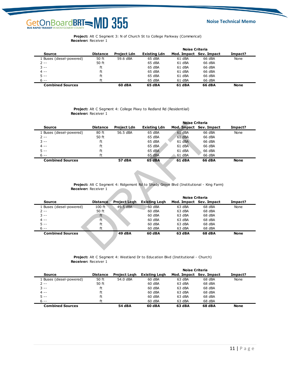| <b>Receiver: Receiver 1</b> |                 |                    |                     |                         |        |             |  |  |
|-----------------------------|-----------------|--------------------|---------------------|-------------------------|--------|-------------|--|--|
|                             |                 |                    |                     | <b>Noise Criteria</b>   |        |             |  |  |
| <b>Source</b>               | <b>Distance</b> | <b>Project Ldn</b> | <b>Existing Ldn</b> | Mod. Impact Sev. Impact |        | Impact?     |  |  |
| 1 Buses (diesel-powered)    | 50 ft           | 59.6 dBA           | 65 dBA              | 61 dBA                  | 66 dBA | None        |  |  |
| $2 - -$                     | 50 ft           |                    | 65 dBA              | 61 dBA                  | 66 dBA |             |  |  |
| $3 - -$                     | ft              |                    | 65 dBA              | 61 dBA                  | 66 dBA |             |  |  |
| $4 - -$                     | ft              |                    | 65 dBA              | 61 dBA                  | 66 dBA |             |  |  |
| $5 - -$                     | ft              |                    | 65 dBA              | 61 dBA                  | 66 dBA |             |  |  |
| $6 - -$                     | ft              |                    | 65 dBA              | 61 dBA                  | 66 dBA |             |  |  |
| <b>Combined Sources</b>     |                 | 60 dBA             | 65 dBA              | 61 dBA                  | 66 dBA | <b>None</b> |  |  |

| <b>Project:</b> Alt C Segment 4: College Pkwy to Redland Rd (Residentiial)<br><b>Receiver: Receiver 1</b> |                 |                    |                     |                                           |        |             |  |  |
|-----------------------------------------------------------------------------------------------------------|-----------------|--------------------|---------------------|-------------------------------------------|--------|-------------|--|--|
| Source                                                                                                    | <b>Distance</b> | <b>Project Ldn</b> | <b>Existing Ldn</b> | Noise Criteria<br>Mod. Impact Sev. Impact |        | Impact?     |  |  |
| 1 Buses (diesel-powered)                                                                                  | 80 ft           | 56.5 dBA           | 65 dBA              | 61 dBA                                    | 66 dBA | None        |  |  |
| $2 -$                                                                                                     | 50 ft           |                    | 65 dBA              | 61 dBA                                    | 66 dBA |             |  |  |
| $3 - -$                                                                                                   | ft              |                    | 65 dBA              | 61 dBA                                    | 66 dBA |             |  |  |
| $4 - -$                                                                                                   | ft              |                    | 65 dBA              | $61$ dBA                                  | 66 dBA |             |  |  |
| $5 -$                                                                                                     | ft              |                    | 65 dBA              | 61 dBA                                    | 66 dBA |             |  |  |
| $6 - -$                                                                                                   | ft              |                    | 65 dBA              | 61 dBA                                    | 66 dBA |             |  |  |
| <b>Combined Sources</b>                                                                                   |                 | 57 dBA             | 65 dBA              | 61 dBA                                    | 66 dBA | <b>None</b> |  |  |

| <b>Source</b>                                                                 | Noise Criteria              |                     |                                                                                        |                                                  |               |             |  |
|-------------------------------------------------------------------------------|-----------------------------|---------------------|----------------------------------------------------------------------------------------|--------------------------------------------------|---------------|-------------|--|
|                                                                               | <b>Distance</b>             | Project Ldn         | <b>Existing Ldn</b>                                                                    | Mod. Impact Sev. Impact                          |               | Impact?     |  |
| 1 Buses (diesel-powered)                                                      | 80 ft                       | 56.5 dBA            | 65 dBA                                                                                 | 61 dBA                                           | 66 dBA        | None        |  |
| $2 -$                                                                         | 50 ft                       |                     | 65 dBA                                                                                 | 61 dBA                                           | 66 dBA        |             |  |
| $3 - -$                                                                       | ft                          |                     | 65 dBA                                                                                 | 61 dBA                                           | 66 dBA        |             |  |
| $4 -$                                                                         | ft                          |                     | 65 dBA                                                                                 | 61 dBA                                           | 66 dBA        |             |  |
| $5 -$                                                                         | ft                          |                     | 65 dBA                                                                                 | 61 dBA                                           | 66 dBA        |             |  |
| $6 - -$                                                                       | ft                          |                     | 65 dBA                                                                                 | 61 dBA                                           | 66 dBA        |             |  |
| <b>Combined Sources</b>                                                       |                             | <b>57 dBA</b>       | 65 dBA                                                                                 | <b>61 dBA</b>                                    | <b>66 dBA</b> | <b>None</b> |  |
|                                                                               |                             |                     |                                                                                        |                                                  |               |             |  |
|                                                                               | <b>Receiver: Receiver 1</b> |                     | Project: Alt C Segment 4: Ridgemont Rd to Shady Grove Blvd (Institutional - King Farm) |                                                  |               |             |  |
|                                                                               |                             |                     |                                                                                        |                                                  |               |             |  |
| <b>Source</b>                                                                 | <b>Distance</b>             | <b>Project Legh</b> | <b>Existing Legh</b>                                                                   | <b>Noise Criteria</b><br>Mod. Impact Sev. Impact |               | Impact?     |  |
|                                                                               | $100$ ft                    | 49.5 dBA            | 60 dBA                                                                                 | 63 dBA                                           | 68 dBA        | None        |  |
|                                                                               | 50 ft                       |                     | 60 dBA                                                                                 | 63 dBA                                           | 68 dBA        |             |  |
|                                                                               | ft                          |                     | 60 dBA                                                                                 | 63 dBA                                           | 68 dBA        |             |  |
|                                                                               | ft                          |                     | 60 dBA                                                                                 | 63 dBA                                           | 68 dBA        |             |  |
|                                                                               | ft                          |                     | 60 dBA                                                                                 | 63 dBA                                           | 68 dBA        |             |  |
| 1 Buses (diesel-powered)<br>$2 - -$<br>$3 - -$<br>$4 -$<br>$5 - -$<br>$6 - -$ | ft                          |                     | 60 dBA                                                                                 | 63 dBA                                           | 68 dBA        |             |  |

#### **Project:** Alt C Segment 4: Westland Dr to Education Blvd (Institutional - Church) **Receiver:** Receiver 1

| <b>Project:</b> Alt C Segment 4: Westland Dr to Education Blvd (Institutional - Church)<br><b>Receiver: Receiver 1</b> |                 |                     |                      |                         |        |             |  |  |
|------------------------------------------------------------------------------------------------------------------------|-----------------|---------------------|----------------------|-------------------------|--------|-------------|--|--|
|                                                                                                                        |                 | Noise Criteria      |                      |                         |        |             |  |  |
| Source                                                                                                                 | <b>Distance</b> | <b>Project Legh</b> | <b>Existing Legh</b> | Mod. Impact Sev. Impact |        | Impact?     |  |  |
| 1 Buses (diesel-powered)                                                                                               | 50 ft           | 54.0 dBA            | 60 dBA               | 63 dBA                  | 68 dBA | None        |  |  |
| $2 - -$                                                                                                                | 50 ft           |                     | 60 dBA               | 63 dBA                  | 68 dBA |             |  |  |
| $3 - -$                                                                                                                | ft              |                     | 60 dBA               | 63 dBA                  | 68 dBA |             |  |  |
| $4 -$                                                                                                                  | ft              |                     | 60 dBA               | 63 dBA                  | 68 dBA |             |  |  |
| $5 -$                                                                                                                  | ft              |                     | 60 dBA               | 63 dBA                  | 68 dBA |             |  |  |
| $6 - -$                                                                                                                | ft              |                     | 60 dBA               | 63 dBA                  | 68 dBA |             |  |  |
| <b>Combined Sources</b>                                                                                                |                 | 54 dBA              | 60 dBA               | 63 dBA                  | 68 dBA | <b>None</b> |  |  |